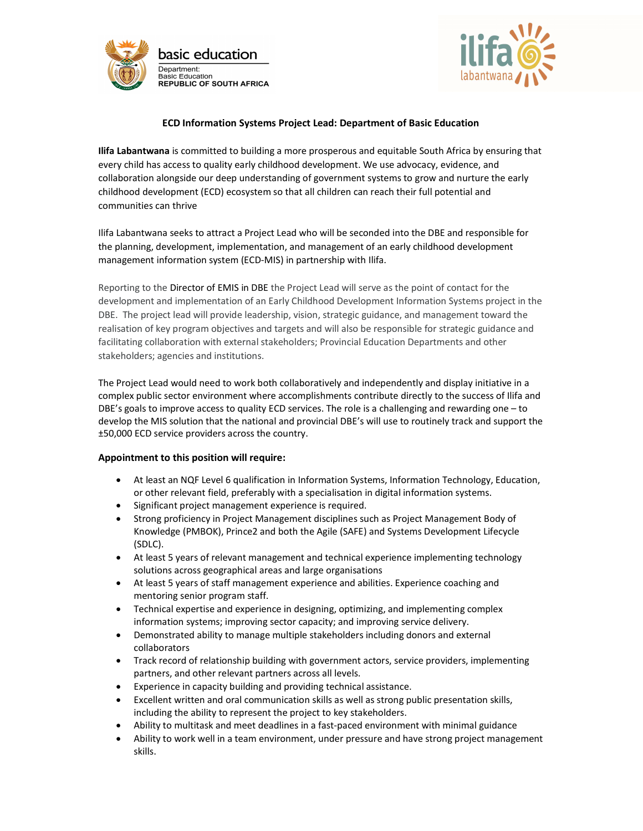



## ECD Information Systems Project Lead: Department of Basic Education

Ilifa Labantwana is committed to building a more prosperous and equitable South Africa by ensuring that every child has access to quality early childhood development. We use advocacy, evidence, and collaboration alongside our deep understanding of government systems to grow and nurture the early childhood development (ECD) ecosystem so that all children can reach their full potential and communities can thrive

Ilifa Labantwana seeks to attract a Project Lead who will be seconded into the DBE and responsible for the planning, development, implementation, and management of an early childhood development management information system (ECD-MIS) in partnership with Ilifa.

Reporting to the Director of EMIS in DBE the Project Lead will serve as the point of contact for the development and implementation of an Early Childhood Development Information Systems project in the DBE. The project lead will provide leadership, vision, strategic guidance, and management toward the realisation of key program objectives and targets and will also be responsible for strategic guidance and facilitating collaboration with external stakeholders; Provincial Education Departments and other stakeholders; agencies and institutions.

The Project Lead would need to work both collaboratively and independently and display initiative in a complex public sector environment where accomplishments contribute directly to the success of Ilifa and DBE's goals to improve access to quality ECD services. The role is a challenging and rewarding one – to develop the MIS solution that the national and provincial DBE's will use to routinely track and support the ±50,000 ECD service providers across the country.

### Appointment to this position will require:

- At least an NQF Level 6 qualification in Information Systems, Information Technology, Education, or other relevant field, preferably with a specialisation in digital information systems.
- Significant project management experience is required.
- Strong proficiency in Project Management disciplines such as Project Management Body of Knowledge (PMBOK), Prince2 and both the Agile (SAFE) and Systems Development Lifecycle (SDLC).
- At least 5 years of relevant management and technical experience implementing technology solutions across geographical areas and large organisations
- At least 5 years of staff management experience and abilities. Experience coaching and mentoring senior program staff.
- Technical expertise and experience in designing, optimizing, and implementing complex information systems; improving sector capacity; and improving service delivery.
- Demonstrated ability to manage multiple stakeholders including donors and external collaborators
- Track record of relationship building with government actors, service providers, implementing partners, and other relevant partners across all levels.
- Experience in capacity building and providing technical assistance.
- Excellent written and oral communication skills as well as strong public presentation skills, including the ability to represent the project to key stakeholders.
- Ability to multitask and meet deadlines in a fast-paced environment with minimal guidance
- Ability to work well in a team environment, under pressure and have strong project management skills.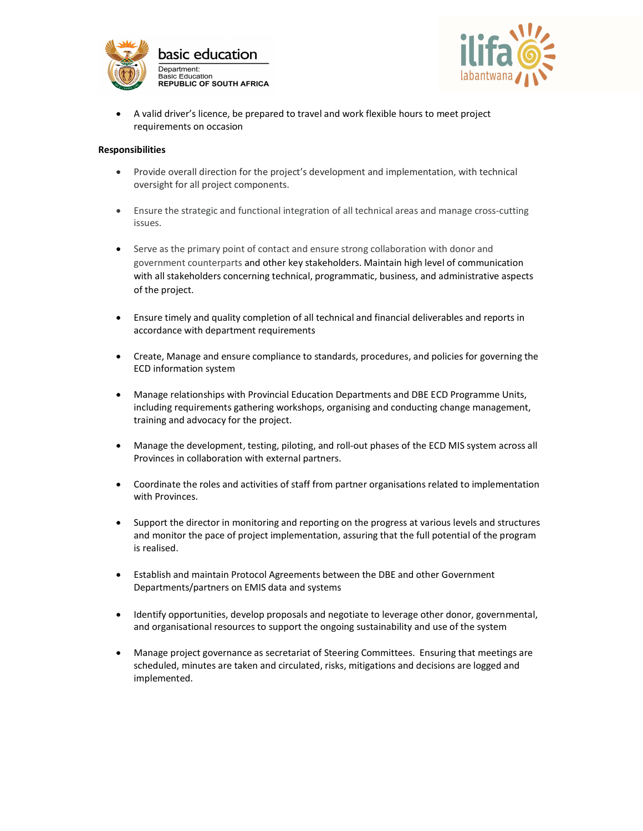



 A valid driver's licence, be prepared to travel and work flexible hours to meet project requirements on occasion

#### Responsibilities

- Provide overall direction for the project's development and implementation, with technical oversight for all project components.
- Ensure the strategic and functional integration of all technical areas and manage cross-cutting issues.
- Serve as the primary point of contact and ensure strong collaboration with donor and government counterparts and other key stakeholders. Maintain high level of communication with all stakeholders concerning technical, programmatic, business, and administrative aspects of the project.
- Ensure timely and quality completion of all technical and financial deliverables and reports in accordance with department requirements
- Create, Manage and ensure compliance to standards, procedures, and policies for governing the ECD information system
- Manage relationships with Provincial Education Departments and DBE ECD Programme Units, including requirements gathering workshops, organising and conducting change management, training and advocacy for the project.
- Manage the development, testing, piloting, and roll-out phases of the ECD MIS system across all Provinces in collaboration with external partners.
- Coordinate the roles and activities of staff from partner organisations related to implementation with Provinces.
- Support the director in monitoring and reporting on the progress at various levels and structures and monitor the pace of project implementation, assuring that the full potential of the program is realised.
- Establish and maintain Protocol Agreements between the DBE and other Government Departments/partners on EMIS data and systems
- Identify opportunities, develop proposals and negotiate to leverage other donor, governmental, and organisational resources to support the ongoing sustainability and use of the system
- Manage project governance as secretariat of Steering Committees. Ensuring that meetings are scheduled, minutes are taken and circulated, risks, mitigations and decisions are logged and implemented.